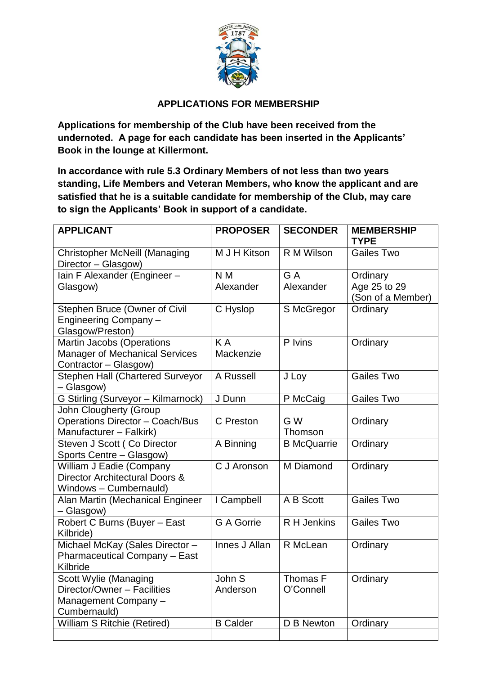

## **APPLICATIONS FOR MEMBERSHIP**

**Applications for membership of the Club have been received from the undernoted. A page for each candidate has been inserted in the Applicants' Book in the lounge at Killermont.**

**In accordance with rule 5.3 Ordinary Members of not less than two years standing, Life Members and Veteran Members, who know the applicant and are satisfied that he is a suitable candidate for membership of the Club, may care to sign the Applicants' Book in support of a candidate.**

| <b>APPLICANT</b>                                                                                   | <b>PROPOSER</b>               | <b>SECONDER</b>       | <b>MEMBERSHIP</b><br><b>TYPE</b>              |
|----------------------------------------------------------------------------------------------------|-------------------------------|-----------------------|-----------------------------------------------|
| <b>Christopher McNeill (Managing</b><br>Director - Glasgow)                                        | M J H Kitson                  | R M Wilson            | <b>Gailes Two</b>                             |
| Iain F Alexander (Engineer -<br>Glasgow)                                                           | N <sub>M</sub><br>Alexander   | G A<br>Alexander      | Ordinary<br>Age 25 to 29<br>(Son of a Member) |
| Stephen Bruce (Owner of Civil<br>Engineering Company -<br>Glasgow/Preston)                         | C Hyslop                      | S McGregor            | Ordinary                                      |
| <b>Martin Jacobs (Operations</b><br><b>Manager of Mechanical Services</b><br>Contractor - Glasgow) | $\overline{K}$ A<br>Mackenzie | P Ivins               | Ordinary                                      |
| <b>Stephen Hall (Chartered Surveyor</b><br>- Glasgow)                                              | A Russell                     | J Loy                 | <b>Gailes Two</b>                             |
| <b>G Stirling (Surveyor - Kilmarnock)</b>                                                          | J Dunn                        | P McCaig              | <b>Gailes Two</b>                             |
| <b>John Clougherty (Group</b><br><b>Operations Director - Coach/Bus</b><br>Manufacturer - Falkirk) | C Preston                     | G W<br>Thomson        | Ordinary                                      |
| Steven J Scott (Co Director<br>Sports Centre - Glasgow)                                            | A Binning                     | <b>B</b> McQuarrie    | Ordinary                                      |
| William J Eadie (Company<br>Director Architectural Doors &<br>Windows - Cumbernauld)               | C J Aronson                   | M Diamond             | Ordinary                                      |
| Alan Martin (Mechanical Engineer<br>- Glasgow)                                                     | I Campbell                    | A B Scott             | <b>Gailes Two</b>                             |
| Robert C Burns (Buyer - East<br>Kilbride)                                                          | <b>G A Gorrie</b>             | R H Jenkins           | <b>Gailes Two</b>                             |
| Michael McKay (Sales Director -<br>Pharmaceutical Company - East<br>Kilbride                       | Innes J Allan                 | R McLean              | Ordinary                                      |
| Scott Wylie (Managing<br>Director/Owner - Facilities<br>Management Company -<br>Cumbernauld)       | John S<br>Anderson            | Thomas F<br>O'Connell | Ordinary                                      |
| William S Ritchie (Retired)                                                                        | <b>B</b> Calder               | D B Newton            | Ordinary                                      |
|                                                                                                    |                               |                       |                                               |